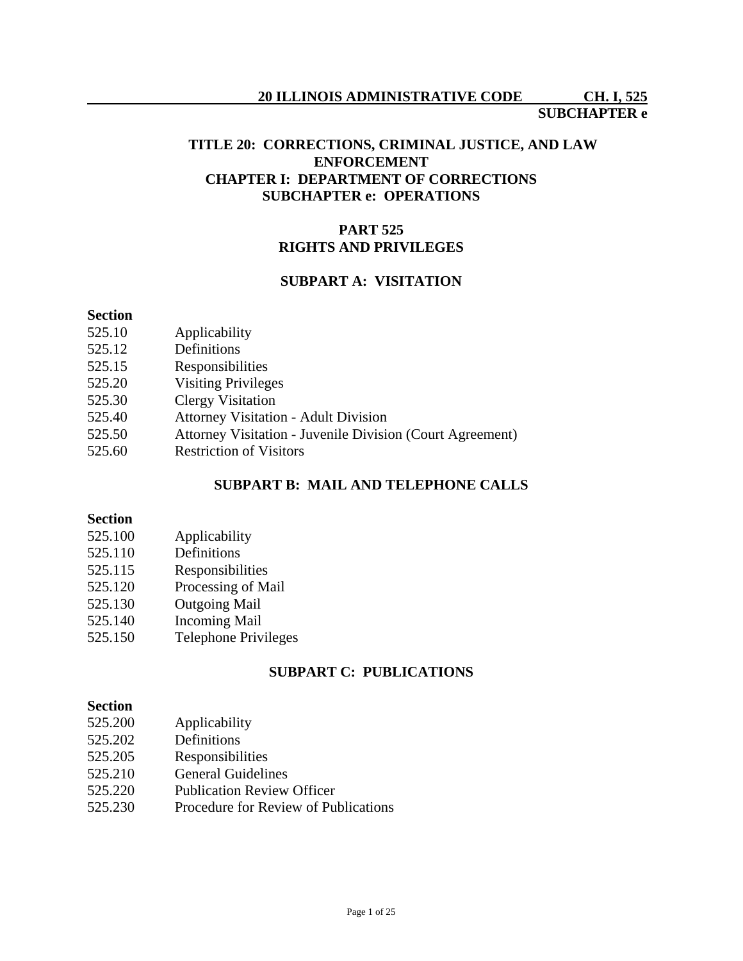# **20 ILLINOIS ADMINISTRATIVE CODE CH. I, 525**

#### **SUBCHAPTER e**

### **TITLE 20: CORRECTIONS, CRIMINAL JUSTICE, AND LAW ENFORCEMENT CHAPTER I: DEPARTMENT OF CORRECTIONS SUBCHAPTER e: OPERATIONS**

## **PART 525 RIGHTS AND PRIVILEGES**

## **SUBPART A: VISITATION**

#### **Section**

- 525.10 Applicability
- 525.12 Definitions
- 525.15 Responsibilities
- 525.20 Visiting Privileges
- 525.30 Clergy Visitation
- 525.40 Attorney Visitation Adult Division
- 525.50 Attorney Visitation Juvenile Division (Court Agreement)
- 525.60 Restriction of Visitors

#### **SUBPART B: MAIL AND TELEPHONE CALLS**

#### **Section**

- 525.100 Applicability
- 525.110 Definitions
- 525.115 Responsibilities
- 525.120 Processing of Mail
- 525.130 Outgoing Mail
- 525.140 Incoming Mail
- 525.150 Telephone Privileges

## **SUBPART C: PUBLICATIONS**

#### **Section**

- 525.200 Applicability
- 525.202 Definitions
- 525.205 Responsibilities
- 525.210 General Guidelines
- 525.220 Publication Review Officer
- 525.230 Procedure for Review of Publications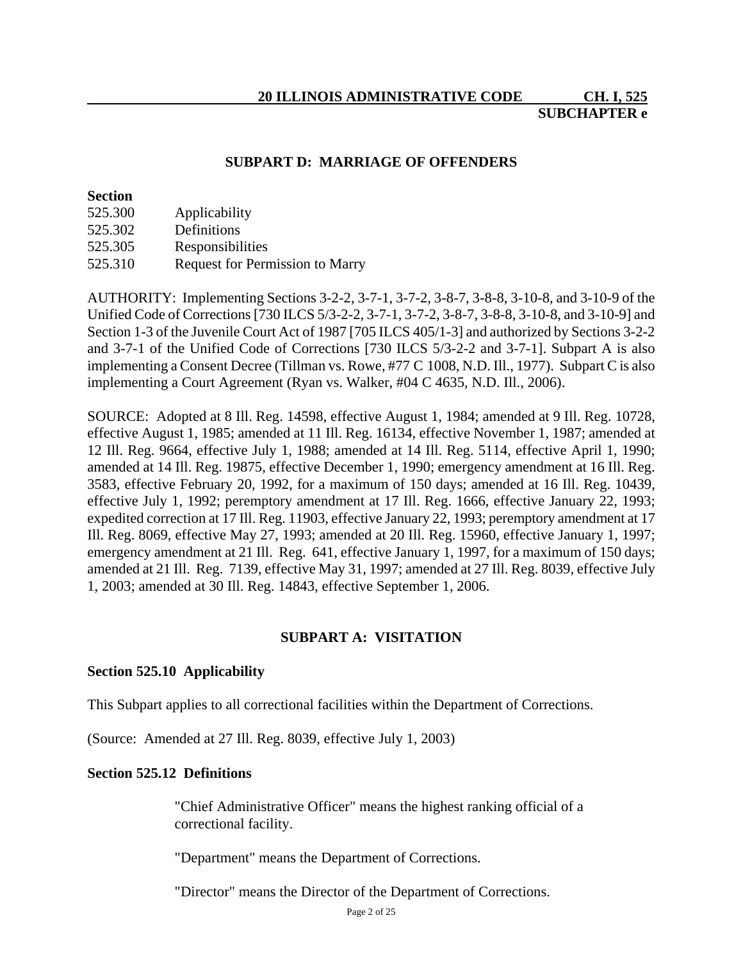**SUBCHAPTER e**

## **SUBPART D: MARRIAGE OF OFFENDERS**

#### **Section**

| 525.300 | Applicability                          |
|---------|----------------------------------------|
| 525.302 | Definitions                            |
| 525.305 | Responsibilities                       |
| 525.310 | <b>Request for Permission to Marry</b> |

AUTHORITY: Implementing Sections 3-2-2, 3-7-1, 3-7-2, 3-8-7, 3-8-8, 3-10-8, and 3-10-9 of the Unified Code of Corrections [730 ILCS 5/3-2-2, 3-7-1, 3-7-2, 3-8-7, 3-8-8, 3-10-8, and 3-10-9] and Section 1-3 of the Juvenile Court Act of 1987 [705 ILCS 405/1-3] and authorized by Sections 3-2-2 and 3-7-1 of the Unified Code of Corrections [730 ILCS 5/3-2-2 and 3-7-1]. Subpart A is also implementing a Consent Decree (Tillman vs. Rowe, #77 C 1008, N.D. Ill., 1977). Subpart C is also implementing a Court Agreement (Ryan vs. Walker, #04 C 4635, N.D. Ill., 2006).

SOURCE: Adopted at 8 Ill. Reg. 14598, effective August 1, 1984; amended at 9 Ill. Reg. 10728, effective August 1, 1985; amended at 11 Ill. Reg. 16134, effective November 1, 1987; amended at 12 Ill. Reg. 9664, effective July 1, 1988; amended at 14 Ill. Reg. 5114, effective April 1, 1990; amended at 14 Ill. Reg. 19875, effective December 1, 1990; emergency amendment at 16 Ill. Reg. 3583, effective February 20, 1992, for a maximum of 150 days; amended at 16 Ill. Reg. 10439, effective July 1, 1992; peremptory amendment at 17 Ill. Reg. 1666, effective January 22, 1993; expedited correction at 17 Ill. Reg. 11903, effective January 22, 1993; peremptory amendment at 17 Ill. Reg. 8069, effective May 27, 1993; amended at 20 Ill. Reg. 15960, effective January 1, 1997; emergency amendment at 21 Ill. Reg. 641, effective January 1, 1997, for a maximum of 150 days; amended at 21 Ill. Reg. 7139, effective May 31, 1997; amended at 27 Ill. Reg. 8039, effective July 1, 2003; amended at 30 Ill. Reg. 14843, effective September 1, 2006.

## **SUBPART A: VISITATION**

## **Section 525.10 Applicability**

This Subpart applies to all correctional facilities within the Department of Corrections.

(Source: Amended at 27 Ill. Reg. 8039, effective July 1, 2003)

#### **Section 525.12 Definitions**

"Chief Administrative Officer" means the highest ranking official of a correctional facility.

"Department" means the Department of Corrections.

"Director" means the Director of the Department of Corrections.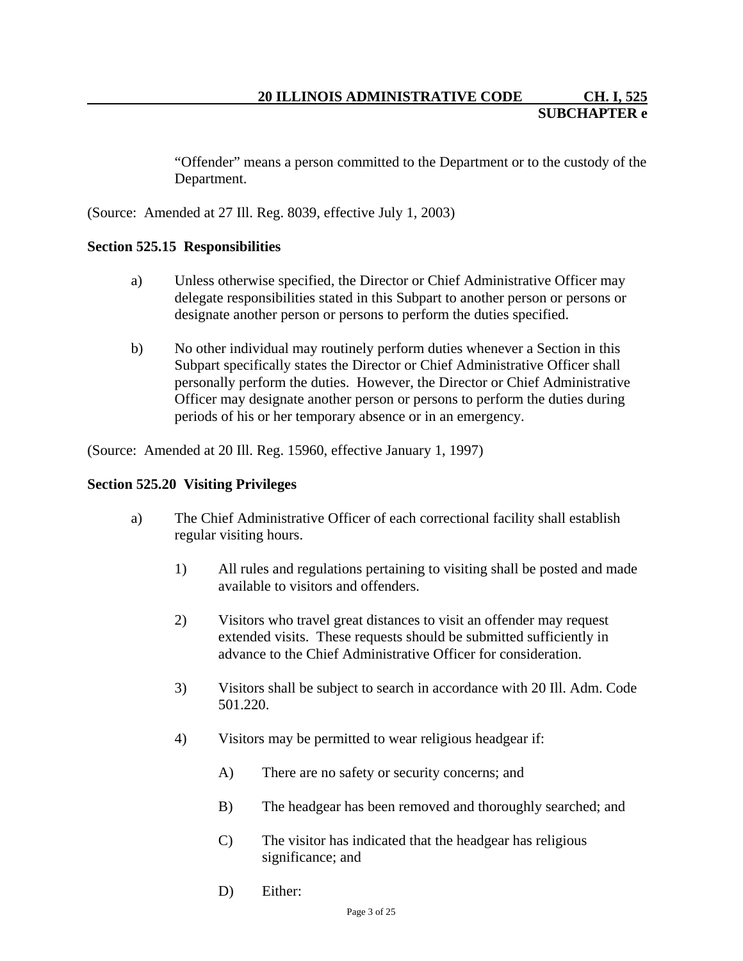"Offender" means a person committed to the Department or to the custody of the Department.

(Source: Amended at 27 Ill. Reg. 8039, effective July 1, 2003)

## **Section 525.15 Responsibilities**

- a) Unless otherwise specified, the Director or Chief Administrative Officer may delegate responsibilities stated in this Subpart to another person or persons or designate another person or persons to perform the duties specified.
- b) No other individual may routinely perform duties whenever a Section in this Subpart specifically states the Director or Chief Administrative Officer shall personally perform the duties. However, the Director or Chief Administrative Officer may designate another person or persons to perform the duties during periods of his or her temporary absence or in an emergency.

(Source: Amended at 20 Ill. Reg. 15960, effective January 1, 1997)

#### **Section 525.20 Visiting Privileges**

- a) The Chief Administrative Officer of each correctional facility shall establish regular visiting hours.
	- 1) All rules and regulations pertaining to visiting shall be posted and made available to visitors and offenders.
	- 2) Visitors who travel great distances to visit an offender may request extended visits. These requests should be submitted sufficiently in advance to the Chief Administrative Officer for consideration.
	- 3) Visitors shall be subject to search in accordance with 20 Ill. Adm. Code 501.220.
	- 4) Visitors may be permitted to wear religious headgear if:
		- A) There are no safety or security concerns; and
		- B) The headgear has been removed and thoroughly searched; and
		- C) The visitor has indicated that the headgear has religious significance; and
		- D) Either: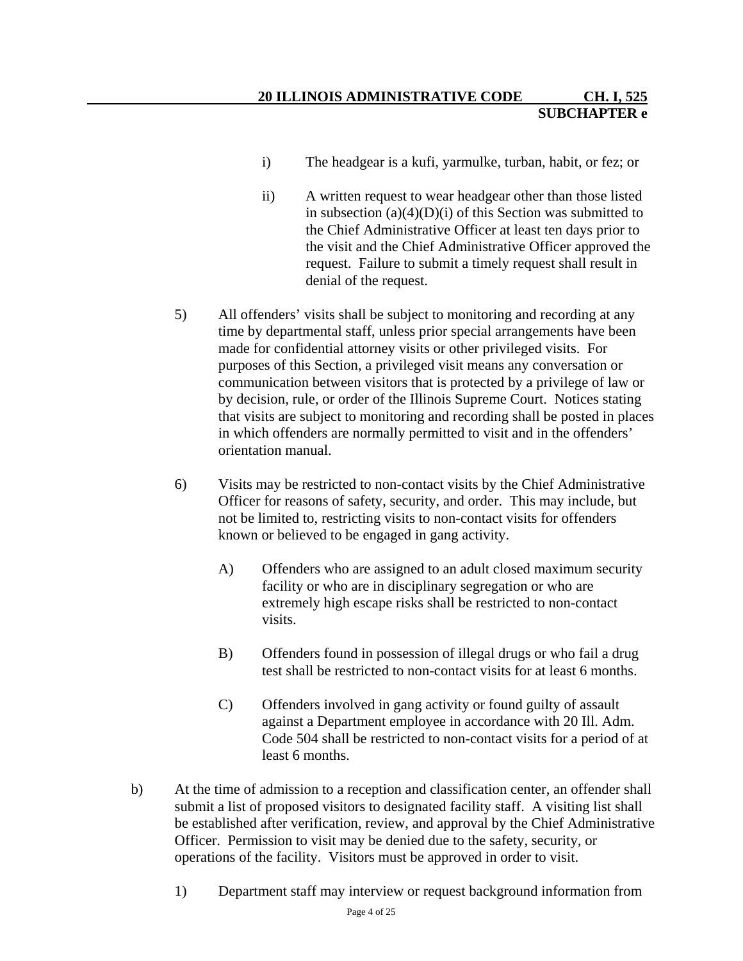- i) The headgear is a kufi, yarmulke, turban, habit, or fez; or
- ii) A written request to wear headgear other than those listed in subsection  $(a)(4)(D)(i)$  of this Section was submitted to the Chief Administrative Officer at least ten days prior to the visit and the Chief Administrative Officer approved the request. Failure to submit a timely request shall result in denial of the request.
- 5) All offenders' visits shall be subject to monitoring and recording at any time by departmental staff, unless prior special arrangements have been made for confidential attorney visits or other privileged visits. For purposes of this Section, a privileged visit means any conversation or communication between visitors that is protected by a privilege of law or by decision, rule, or order of the Illinois Supreme Court. Notices stating that visits are subject to monitoring and recording shall be posted in places in which offenders are normally permitted to visit and in the offenders' orientation manual.
- 6) Visits may be restricted to non-contact visits by the Chief Administrative Officer for reasons of safety, security, and order. This may include, but not be limited to, restricting visits to non-contact visits for offenders known or believed to be engaged in gang activity.
	- A) Offenders who are assigned to an adult closed maximum security facility or who are in disciplinary segregation or who are extremely high escape risks shall be restricted to non-contact visits.
	- B) Offenders found in possession of illegal drugs or who fail a drug test shall be restricted to non-contact visits for at least 6 months.
	- C) Offenders involved in gang activity or found guilty of assault against a Department employee in accordance with 20 Ill. Adm. Code 504 shall be restricted to non-contact visits for a period of at least 6 months.
- b) At the time of admission to a reception and classification center, an offender shall submit a list of proposed visitors to designated facility staff. A visiting list shall be established after verification, review, and approval by the Chief Administrative Officer. Permission to visit may be denied due to the safety, security, or operations of the facility. Visitors must be approved in order to visit.
	- 1) Department staff may interview or request background information from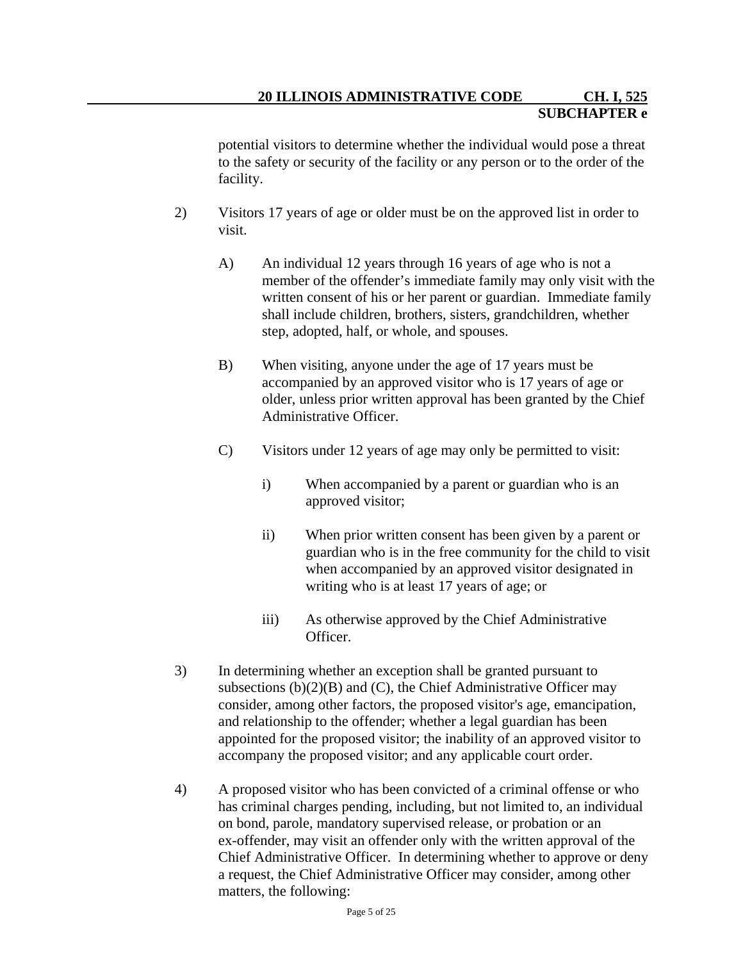potential visitors to determine whether the individual would pose a threat to the safety or security of the facility or any person or to the order of the facility.

- 2) Visitors 17 years of age or older must be on the approved list in order to visit.
	- A) An individual 12 years through 16 years of age who is not a member of the offender's immediate family may only visit with the written consent of his or her parent or guardian. Immediate family shall include children, brothers, sisters, grandchildren, whether step, adopted, half, or whole, and spouses.
	- B) When visiting, anyone under the age of 17 years must be accompanied by an approved visitor who is 17 years of age or older, unless prior written approval has been granted by the Chief Administrative Officer.
	- C) Visitors under 12 years of age may only be permitted to visit:
		- i) When accompanied by a parent or guardian who is an approved visitor;
		- ii) When prior written consent has been given by a parent or guardian who is in the free community for the child to visit when accompanied by an approved visitor designated in writing who is at least 17 years of age; or
		- iii) As otherwise approved by the Chief Administrative Officer.
- 3) In determining whether an exception shall be granted pursuant to subsections  $(b)(2)(B)$  and  $(C)$ , the Chief Administrative Officer may consider, among other factors, the proposed visitor's age, emancipation, and relationship to the offender; whether a legal guardian has been appointed for the proposed visitor; the inability of an approved visitor to accompany the proposed visitor; and any applicable court order.
- 4) A proposed visitor who has been convicted of a criminal offense or who has criminal charges pending, including, but not limited to, an individual on bond, parole, mandatory supervised release, or probation or an ex-offender, may visit an offender only with the written approval of the Chief Administrative Officer. In determining whether to approve or deny a request, the Chief Administrative Officer may consider, among other matters, the following: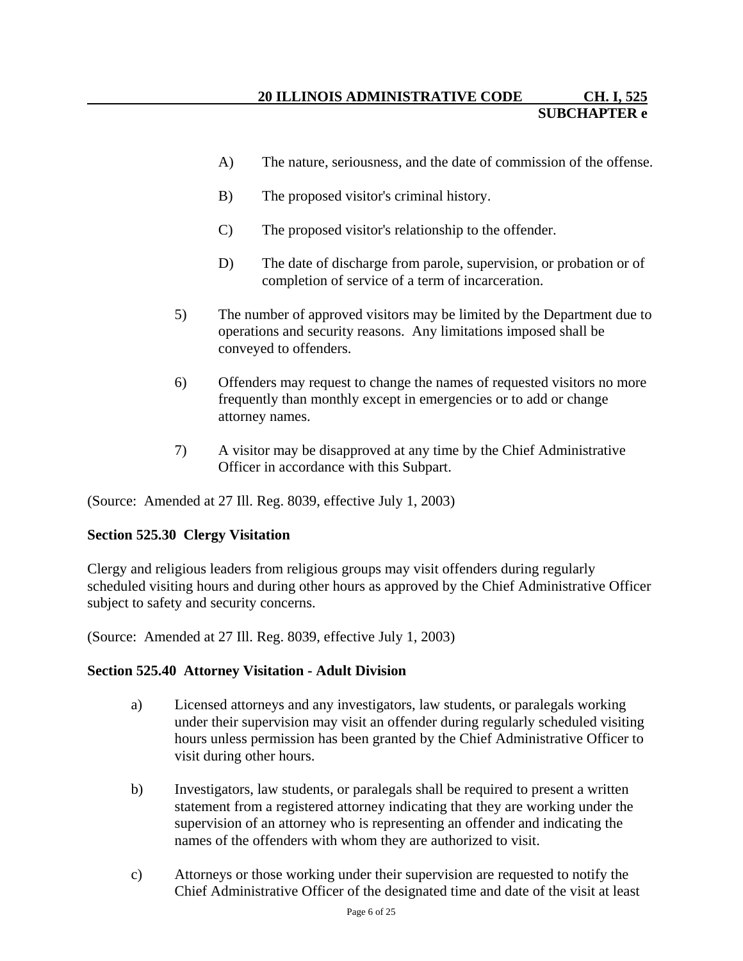- A) The nature, seriousness, and the date of commission of the offense.
- B) The proposed visitor's criminal history.
- C) The proposed visitor's relationship to the offender.
- D) The date of discharge from parole, supervision, or probation or of completion of service of a term of incarceration.
- 5) The number of approved visitors may be limited by the Department due to operations and security reasons. Any limitations imposed shall be conveyed to offenders.
- 6) Offenders may request to change the names of requested visitors no more frequently than monthly except in emergencies or to add or change attorney names.
- 7) A visitor may be disapproved at any time by the Chief Administrative Officer in accordance with this Subpart.

# **Section 525.30 Clergy Visitation**

Clergy and religious leaders from religious groups may visit offenders during regularly scheduled visiting hours and during other hours as approved by the Chief Administrative Officer subject to safety and security concerns.

(Source: Amended at 27 Ill. Reg. 8039, effective July 1, 2003)

## **Section 525.40 Attorney Visitation - Adult Division**

- a) Licensed attorneys and any investigators, law students, or paralegals working under their supervision may visit an offender during regularly scheduled visiting hours unless permission has been granted by the Chief Administrative Officer to visit during other hours.
- b) Investigators, law students, or paralegals shall be required to present a written statement from a registered attorney indicating that they are working under the supervision of an attorney who is representing an offender and indicating the names of the offenders with whom they are authorized to visit.
- c) Attorneys or those working under their supervision are requested to notify the Chief Administrative Officer of the designated time and date of the visit at least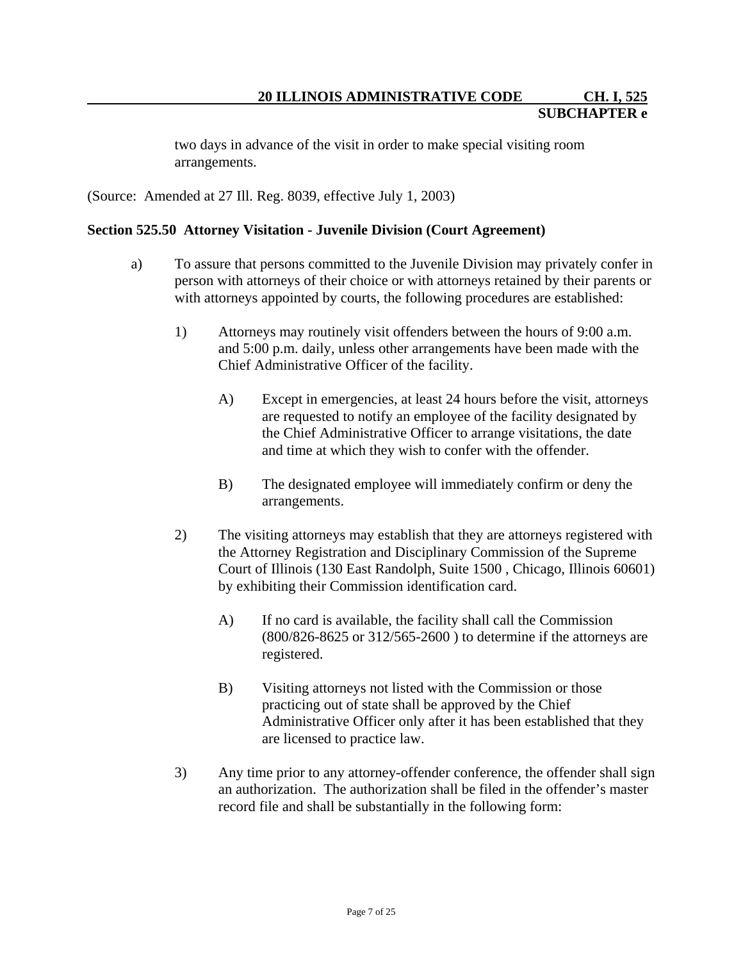two days in advance of the visit in order to make special visiting room arrangements.

(Source: Amended at 27 Ill. Reg. 8039, effective July 1, 2003)

#### **Section 525.50 Attorney Visitation - Juvenile Division (Court Agreement)**

- a) To assure that persons committed to the Juvenile Division may privately confer in person with attorneys of their choice or with attorneys retained by their parents or with attorneys appointed by courts, the following procedures are established:
	- 1) Attorneys may routinely visit offenders between the hours of 9:00 a.m. and 5:00 p.m. daily, unless other arrangements have been made with the Chief Administrative Officer of the facility.
		- A) Except in emergencies, at least 24 hours before the visit, attorneys are requested to notify an employee of the facility designated by the Chief Administrative Officer to arrange visitations, the date and time at which they wish to confer with the offender.
		- B) The designated employee will immediately confirm or deny the arrangements.
	- 2) The visiting attorneys may establish that they are attorneys registered with the Attorney Registration and Disciplinary Commission of the Supreme Court of Illinois (130 East Randolph, Suite 1500 , Chicago, Illinois 60601) by exhibiting their Commission identification card.
		- A) If no card is available, the facility shall call the Commission (800/826-8625 or 312/565-2600 ) to determine if the attorneys are registered.
		- B) Visiting attorneys not listed with the Commission or those practicing out of state shall be approved by the Chief Administrative Officer only after it has been established that they are licensed to practice law.
	- 3) Any time prior to any attorney-offender conference, the offender shall sign an authorization. The authorization shall be filed in the offender's master record file and shall be substantially in the following form: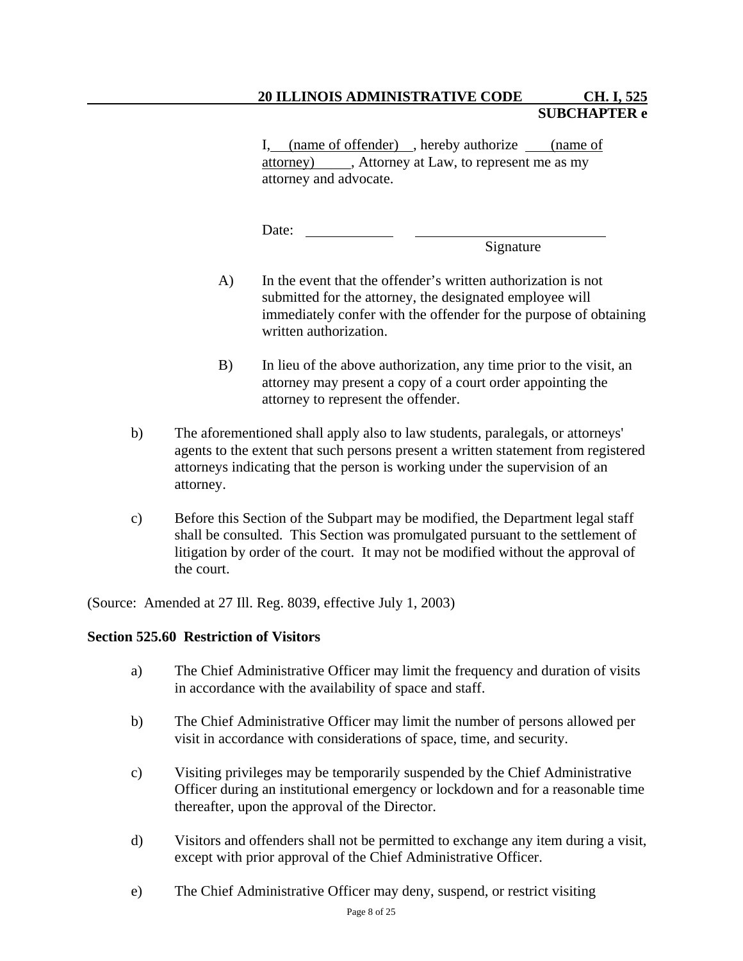I, (name of offender) , hereby authorize (name of attorney) , Attorney at Law, to represent me as my attorney and advocate.

Date:

Signature

- A) In the event that the offender's written authorization is not submitted for the attorney, the designated employee will immediately confer with the offender for the purpose of obtaining written authorization.
- B) In lieu of the above authorization, any time prior to the visit, an attorney may present a copy of a court order appointing the attorney to represent the offender.
- b) The aforementioned shall apply also to law students, paralegals, or attorneys' agents to the extent that such persons present a written statement from registered attorneys indicating that the person is working under the supervision of an attorney.
- c) Before this Section of the Subpart may be modified, the Department legal staff shall be consulted. This Section was promulgated pursuant to the settlement of litigation by order of the court. It may not be modified without the approval of the court.

(Source: Amended at 27 Ill. Reg. 8039, effective July 1, 2003)

## **Section 525.60 Restriction of Visitors**

- a) The Chief Administrative Officer may limit the frequency and duration of visits in accordance with the availability of space and staff.
- b) The Chief Administrative Officer may limit the number of persons allowed per visit in accordance with considerations of space, time, and security.
- c) Visiting privileges may be temporarily suspended by the Chief Administrative Officer during an institutional emergency or lockdown and for a reasonable time thereafter, upon the approval of the Director.
- d) Visitors and offenders shall not be permitted to exchange any item during a visit, except with prior approval of the Chief Administrative Officer.
- e) The Chief Administrative Officer may deny, suspend, or restrict visiting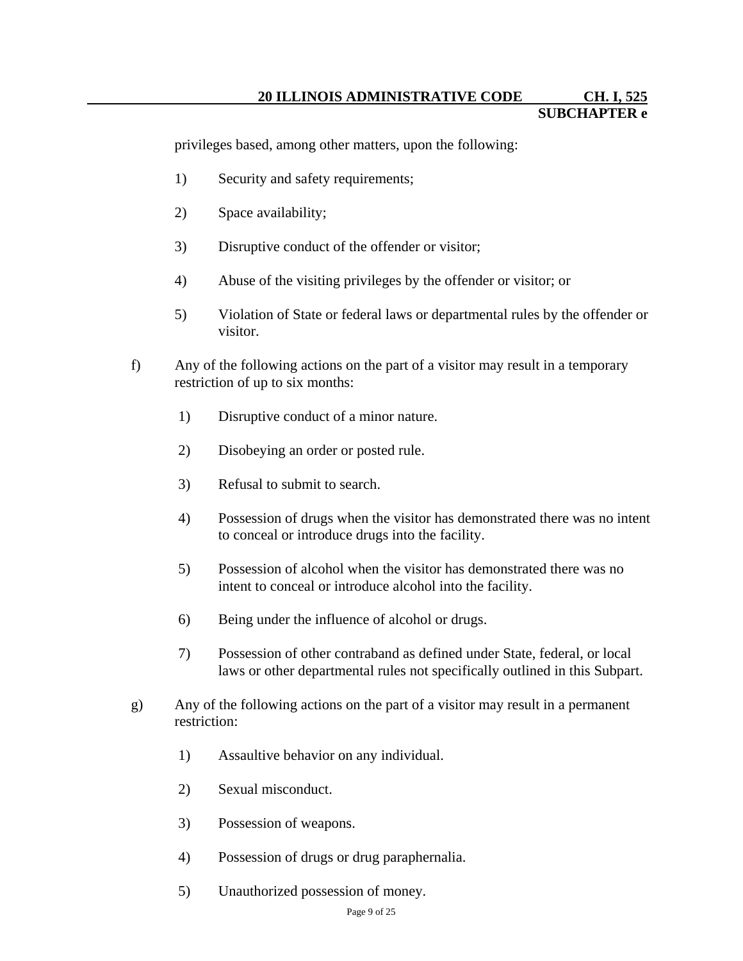privileges based, among other matters, upon the following:

- 1) Security and safety requirements;
- 2) Space availability;
- 3) Disruptive conduct of the offender or visitor;
- 4) Abuse of the visiting privileges by the offender or visitor; or
- 5) Violation of State or federal laws or departmental rules by the offender or visitor.
- f) Any of the following actions on the part of a visitor may result in a temporary restriction of up to six months:
	- 1) Disruptive conduct of a minor nature.
	- 2) Disobeying an order or posted rule.
	- 3) Refusal to submit to search.
	- 4) Possession of drugs when the visitor has demonstrated there was no intent to conceal or introduce drugs into the facility.
	- 5) Possession of alcohol when the visitor has demonstrated there was no intent to conceal or introduce alcohol into the facility.
	- 6) Being under the influence of alcohol or drugs.
	- 7) Possession of other contraband as defined under State, federal, or local laws or other departmental rules not specifically outlined in this Subpart.
- g) Any of the following actions on the part of a visitor may result in a permanent restriction:
	- 1) Assaultive behavior on any individual.
	- 2) Sexual misconduct.
	- 3) Possession of weapons.
	- 4) Possession of drugs or drug paraphernalia.
	- 5) Unauthorized possession of money.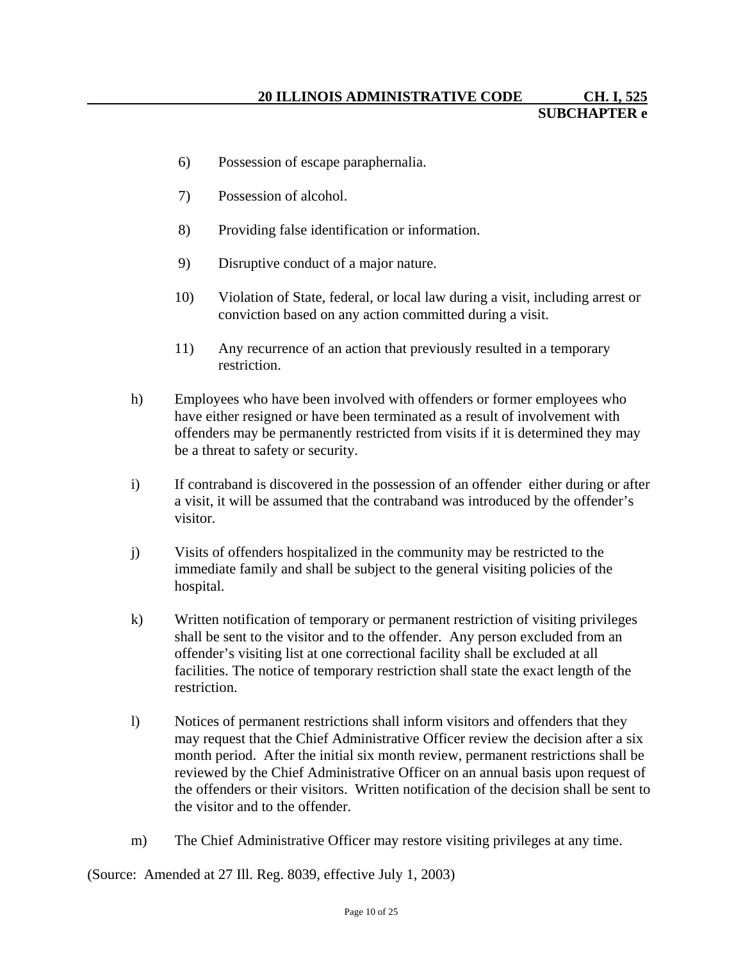- 6) Possession of escape paraphernalia.
- 7) Possession of alcohol.
- 8) Providing false identification or information.
- 9) Disruptive conduct of a major nature.
- 10) Violation of State, federal, or local law during a visit, including arrest or conviction based on any action committed during a visit.
- 11) Any recurrence of an action that previously resulted in a temporary restriction.
- h) Employees who have been involved with offenders or former employees who have either resigned or have been terminated as a result of involvement with offenders may be permanently restricted from visits if it is determined they may be a threat to safety or security.
- i) If contraband is discovered in the possession of an offender either during or after a visit, it will be assumed that the contraband was introduced by the offender's visitor.
- j) Visits of offenders hospitalized in the community may be restricted to the immediate family and shall be subject to the general visiting policies of the hospital.
- k) Written notification of temporary or permanent restriction of visiting privileges shall be sent to the visitor and to the offender. Any person excluded from an offender's visiting list at one correctional facility shall be excluded at all facilities. The notice of temporary restriction shall state the exact length of the restriction.
- l) Notices of permanent restrictions shall inform visitors and offenders that they may request that the Chief Administrative Officer review the decision after a six month period. After the initial six month review, permanent restrictions shall be reviewed by the Chief Administrative Officer on an annual basis upon request of the offenders or their visitors. Written notification of the decision shall be sent to the visitor and to the offender.
- m) The Chief Administrative Officer may restore visiting privileges at any time.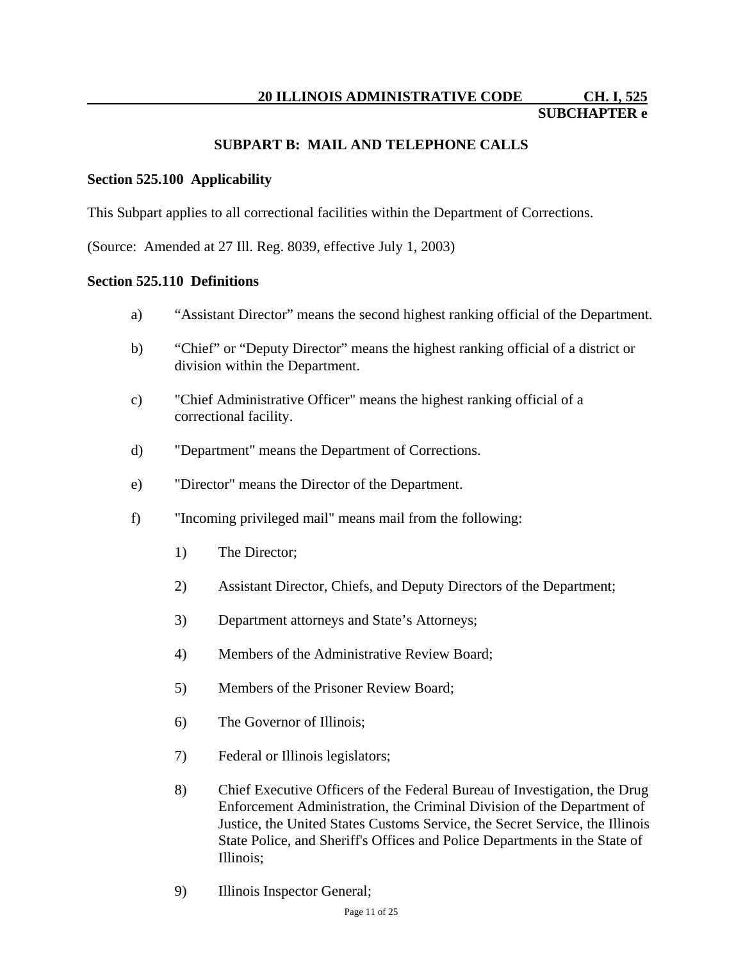#### **SUBPART B: MAIL AND TELEPHONE CALLS**

#### **Section 525.100 Applicability**

This Subpart applies to all correctional facilities within the Department of Corrections.

(Source: Amended at 27 Ill. Reg. 8039, effective July 1, 2003)

#### **Section 525.110 Definitions**

- a) "Assistant Director" means the second highest ranking official of the Department.
- b) "Chief" or "Deputy Director" means the highest ranking official of a district or division within the Department.
- c) "Chief Administrative Officer" means the highest ranking official of a correctional facility.
- d) "Department" means the Department of Corrections.
- e) "Director" means the Director of the Department.
- f) "Incoming privileged mail" means mail from the following:
	- 1) The Director;
	- 2) Assistant Director, Chiefs, and Deputy Directors of the Department;
	- 3) Department attorneys and State's Attorneys;
	- 4) Members of the Administrative Review Board;
	- 5) Members of the Prisoner Review Board;
	- 6) The Governor of Illinois;
	- 7) Federal or Illinois legislators;
	- 8) Chief Executive Officers of the Federal Bureau of Investigation, the Drug Enforcement Administration, the Criminal Division of the Department of Justice, the United States Customs Service, the Secret Service, the Illinois State Police, and Sheriff's Offices and Police Departments in the State of Illinois;
	- 9) Illinois Inspector General;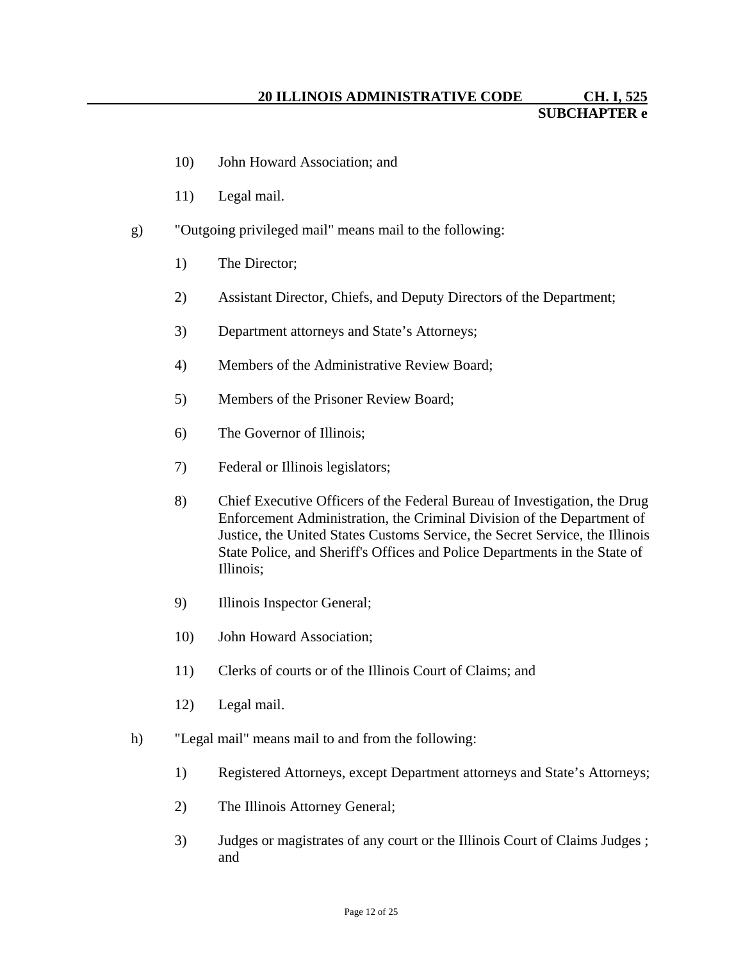- 10) John Howard Association; and
- 11) Legal mail.
- g) "Outgoing privileged mail" means mail to the following:
	- 1) The Director;
	- 2) Assistant Director, Chiefs, and Deputy Directors of the Department;
	- 3) Department attorneys and State's Attorneys;
	- 4) Members of the Administrative Review Board;
	- 5) Members of the Prisoner Review Board;
	- 6) The Governor of Illinois;
	- 7) Federal or Illinois legislators;
	- 8) Chief Executive Officers of the Federal Bureau of Investigation, the Drug Enforcement Administration, the Criminal Division of the Department of Justice, the United States Customs Service, the Secret Service, the Illinois State Police, and Sheriff's Offices and Police Departments in the State of Illinois;
	- 9) Illinois Inspector General;
	- 10) John Howard Association;
	- 11) Clerks of courts or of the Illinois Court of Claims; and
	- 12) Legal mail.
- h) "Legal mail" means mail to and from the following:
	- 1) Registered Attorneys, except Department attorneys and State's Attorneys;
	- 2) The Illinois Attorney General;
	- 3) Judges or magistrates of any court or the Illinois Court of Claims Judges ; and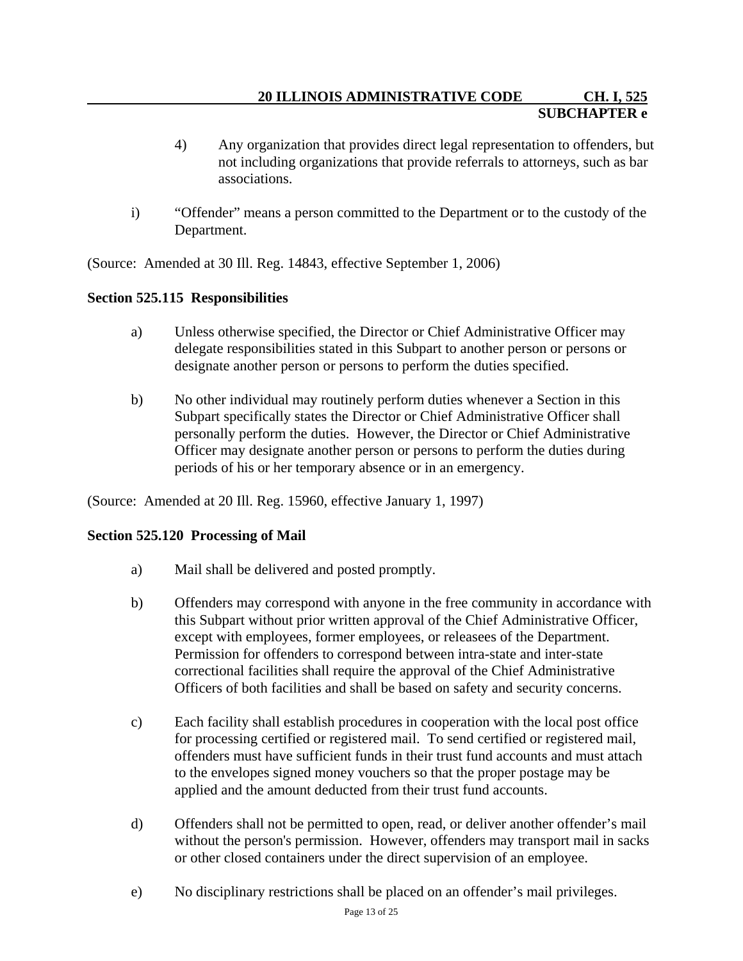- 4) Any organization that provides direct legal representation to offenders, but not including organizations that provide referrals to attorneys, such as bar associations.
- i) "Offender" means a person committed to the Department or to the custody of the Department.

(Source: Amended at 30 Ill. Reg. 14843, effective September 1, 2006)

# **Section 525.115 Responsibilities**

- a) Unless otherwise specified, the Director or Chief Administrative Officer may delegate responsibilities stated in this Subpart to another person or persons or designate another person or persons to perform the duties specified.
- b) No other individual may routinely perform duties whenever a Section in this Subpart specifically states the Director or Chief Administrative Officer shall personally perform the duties. However, the Director or Chief Administrative Officer may designate another person or persons to perform the duties during periods of his or her temporary absence or in an emergency.

(Source: Amended at 20 Ill. Reg. 15960, effective January 1, 1997)

## **Section 525.120 Processing of Mail**

- a) Mail shall be delivered and posted promptly.
- b) Offenders may correspond with anyone in the free community in accordance with this Subpart without prior written approval of the Chief Administrative Officer, except with employees, former employees, or releasees of the Department. Permission for offenders to correspond between intra-state and inter-state correctional facilities shall require the approval of the Chief Administrative Officers of both facilities and shall be based on safety and security concerns.
- c) Each facility shall establish procedures in cooperation with the local post office for processing certified or registered mail. To send certified or registered mail, offenders must have sufficient funds in their trust fund accounts and must attach to the envelopes signed money vouchers so that the proper postage may be applied and the amount deducted from their trust fund accounts.
- d) Offenders shall not be permitted to open, read, or deliver another offender's mail without the person's permission. However, offenders may transport mail in sacks or other closed containers under the direct supervision of an employee.
- e) No disciplinary restrictions shall be placed on an offender's mail privileges.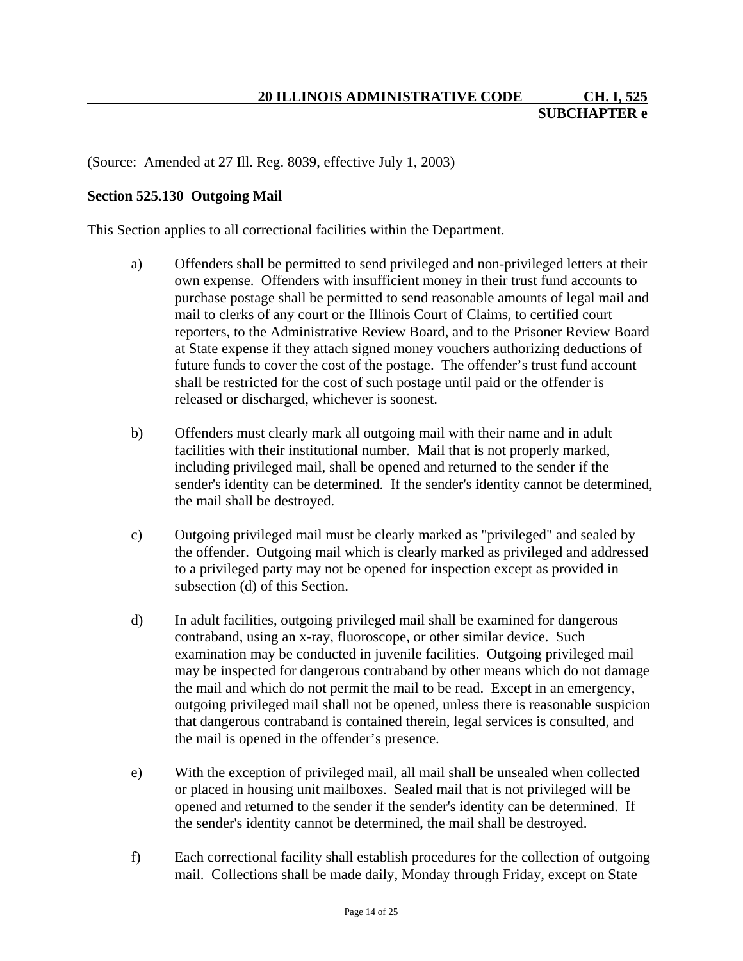#### **Section 525.130 Outgoing Mail**

This Section applies to all correctional facilities within the Department.

- a) Offenders shall be permitted to send privileged and non-privileged letters at their own expense. Offenders with insufficient money in their trust fund accounts to purchase postage shall be permitted to send reasonable amounts of legal mail and mail to clerks of any court or the Illinois Court of Claims, to certified court reporters, to the Administrative Review Board, and to the Prisoner Review Board at State expense if they attach signed money vouchers authorizing deductions of future funds to cover the cost of the postage. The offender's trust fund account shall be restricted for the cost of such postage until paid or the offender is released or discharged, whichever is soonest.
- b) Offenders must clearly mark all outgoing mail with their name and in adult facilities with their institutional number. Mail that is not properly marked, including privileged mail, shall be opened and returned to the sender if the sender's identity can be determined. If the sender's identity cannot be determined, the mail shall be destroyed.
- c) Outgoing privileged mail must be clearly marked as "privileged" and sealed by the offender. Outgoing mail which is clearly marked as privileged and addressed to a privileged party may not be opened for inspection except as provided in subsection (d) of this Section.
- d) In adult facilities, outgoing privileged mail shall be examined for dangerous contraband, using an x-ray, fluoroscope, or other similar device. Such examination may be conducted in juvenile facilities. Outgoing privileged mail may be inspected for dangerous contraband by other means which do not damage the mail and which do not permit the mail to be read. Except in an emergency, outgoing privileged mail shall not be opened, unless there is reasonable suspicion that dangerous contraband is contained therein, legal services is consulted, and the mail is opened in the offender's presence.
- e) With the exception of privileged mail, all mail shall be unsealed when collected or placed in housing unit mailboxes. Sealed mail that is not privileged will be opened and returned to the sender if the sender's identity can be determined. If the sender's identity cannot be determined, the mail shall be destroyed.
- f) Each correctional facility shall establish procedures for the collection of outgoing mail. Collections shall be made daily, Monday through Friday, except on State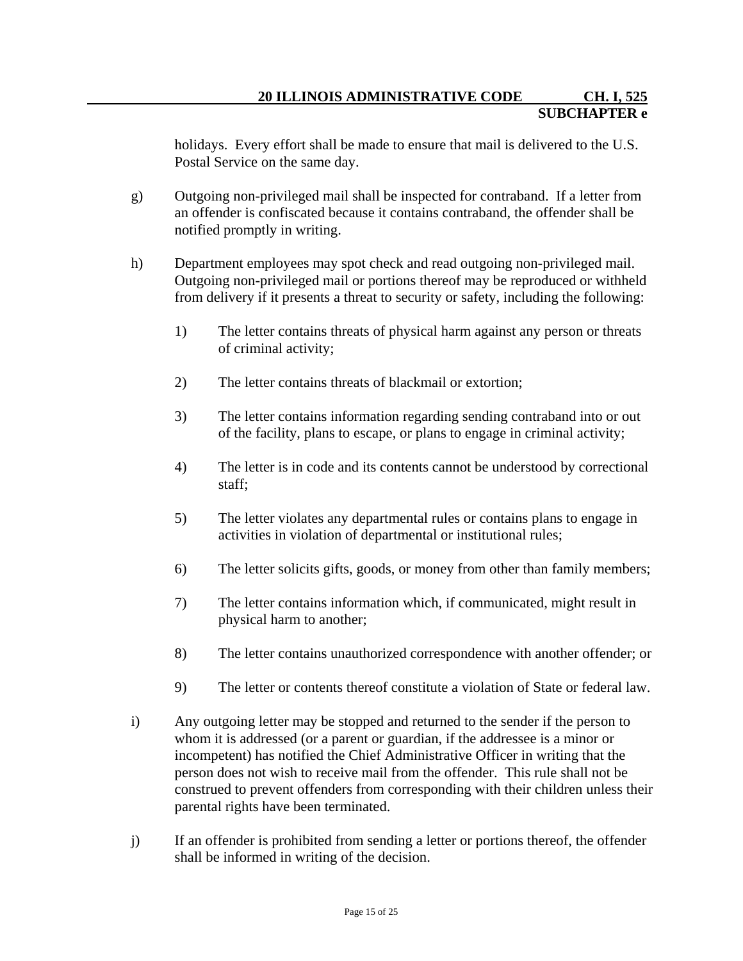holidays. Every effort shall be made to ensure that mail is delivered to the U.S. Postal Service on the same day.

- g) Outgoing non-privileged mail shall be inspected for contraband. If a letter from an offender is confiscated because it contains contraband, the offender shall be notified promptly in writing.
- h) Department employees may spot check and read outgoing non-privileged mail. Outgoing non-privileged mail or portions thereof may be reproduced or withheld from delivery if it presents a threat to security or safety, including the following:
	- 1) The letter contains threats of physical harm against any person or threats of criminal activity;
	- 2) The letter contains threats of blackmail or extortion;
	- 3) The letter contains information regarding sending contraband into or out of the facility, plans to escape, or plans to engage in criminal activity;
	- 4) The letter is in code and its contents cannot be understood by correctional staff;
	- 5) The letter violates any departmental rules or contains plans to engage in activities in violation of departmental or institutional rules;
	- 6) The letter solicits gifts, goods, or money from other than family members;
	- 7) The letter contains information which, if communicated, might result in physical harm to another;
	- 8) The letter contains unauthorized correspondence with another offender; or
	- 9) The letter or contents thereof constitute a violation of State or federal law.
- i) Any outgoing letter may be stopped and returned to the sender if the person to whom it is addressed (or a parent or guardian, if the addressee is a minor or incompetent) has notified the Chief Administrative Officer in writing that the person does not wish to receive mail from the offender. This rule shall not be construed to prevent offenders from corresponding with their children unless their parental rights have been terminated.
- j) If an offender is prohibited from sending a letter or portions thereof, the offender shall be informed in writing of the decision.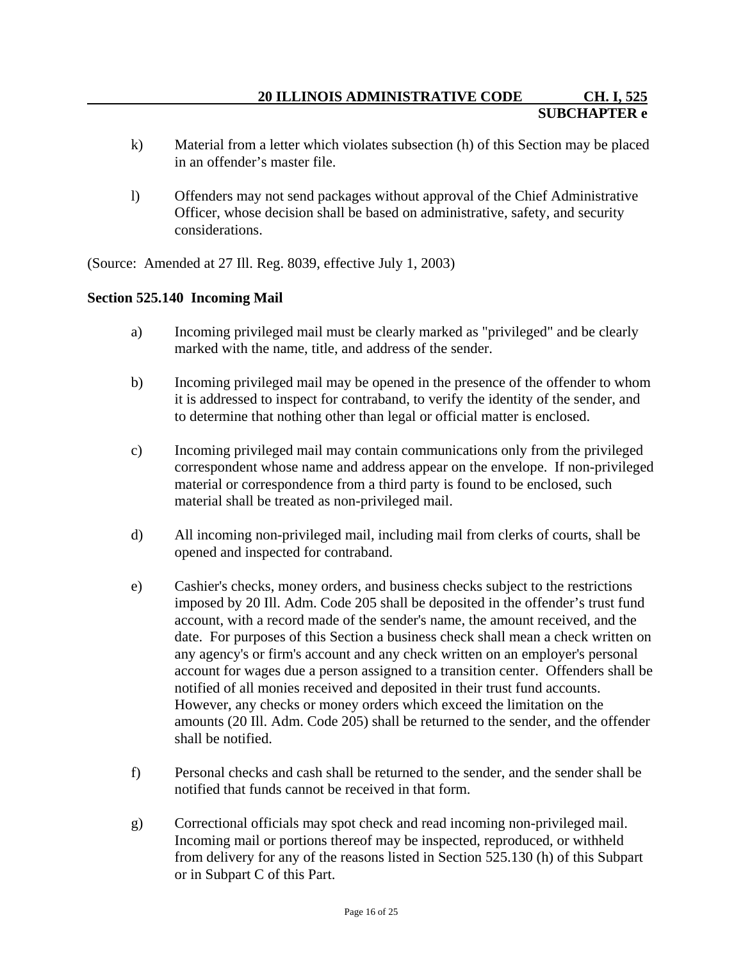- k) Material from a letter which violates subsection (h) of this Section may be placed in an offender's master file.
- l) Offenders may not send packages without approval of the Chief Administrative Officer, whose decision shall be based on administrative, safety, and security considerations.

#### **Section 525.140 Incoming Mail**

- a) Incoming privileged mail must be clearly marked as "privileged" and be clearly marked with the name, title, and address of the sender.
- b) Incoming privileged mail may be opened in the presence of the offender to whom it is addressed to inspect for contraband, to verify the identity of the sender, and to determine that nothing other than legal or official matter is enclosed.
- c) Incoming privileged mail may contain communications only from the privileged correspondent whose name and address appear on the envelope. If non-privileged material or correspondence from a third party is found to be enclosed, such material shall be treated as non-privileged mail.
- d) All incoming non-privileged mail, including mail from clerks of courts, shall be opened and inspected for contraband.
- e) Cashier's checks, money orders, and business checks subject to the restrictions imposed by 20 Ill. Adm. Code 205 shall be deposited in the offender's trust fund account, with a record made of the sender's name, the amount received, and the date. For purposes of this Section a business check shall mean a check written on any agency's or firm's account and any check written on an employer's personal account for wages due a person assigned to a transition center. Offenders shall be notified of all monies received and deposited in their trust fund accounts. However, any checks or money orders which exceed the limitation on the amounts (20 Ill. Adm. Code 205) shall be returned to the sender, and the offender shall be notified.
- f) Personal checks and cash shall be returned to the sender, and the sender shall be notified that funds cannot be received in that form.
- g) Correctional officials may spot check and read incoming non-privileged mail. Incoming mail or portions thereof may be inspected, reproduced, or withheld from delivery for any of the reasons listed in Section 525.130 (h) of this Subpart or in Subpart C of this Part.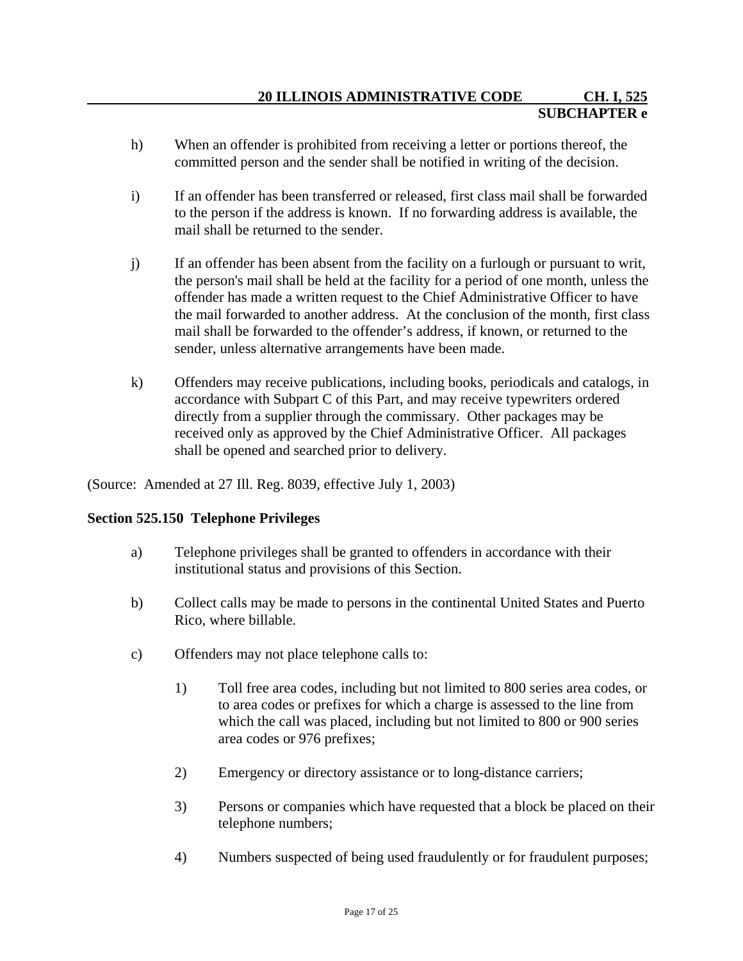- h) When an offender is prohibited from receiving a letter or portions thereof, the committed person and the sender shall be notified in writing of the decision.
- i) If an offender has been transferred or released, first class mail shall be forwarded to the person if the address is known. If no forwarding address is available, the mail shall be returned to the sender.
- j) If an offender has been absent from the facility on a furlough or pursuant to writ, the person's mail shall be held at the facility for a period of one month, unless the offender has made a written request to the Chief Administrative Officer to have the mail forwarded to another address. At the conclusion of the month, first class mail shall be forwarded to the offender's address, if known, or returned to the sender, unless alternative arrangements have been made.
- k) Offenders may receive publications, including books, periodicals and catalogs, in accordance with Subpart C of this Part, and may receive typewriters ordered directly from a supplier through the commissary. Other packages may be received only as approved by the Chief Administrative Officer. All packages shall be opened and searched prior to delivery.

# **Section 525.150 Telephone Privileges**

- a) Telephone privileges shall be granted to offenders in accordance with their institutional status and provisions of this Section.
- b) Collect calls may be made to persons in the continental United States and Puerto Rico, where billable.
- c) Offenders may not place telephone calls to:
	- 1) Toll free area codes, including but not limited to 800 series area codes, or to area codes or prefixes for which a charge is assessed to the line from which the call was placed, including but not limited to 800 or 900 series area codes or 976 prefixes;
	- 2) Emergency or directory assistance or to long-distance carriers;
	- 3) Persons or companies which have requested that a block be placed on their telephone numbers;
	- 4) Numbers suspected of being used fraudulently or for fraudulent purposes;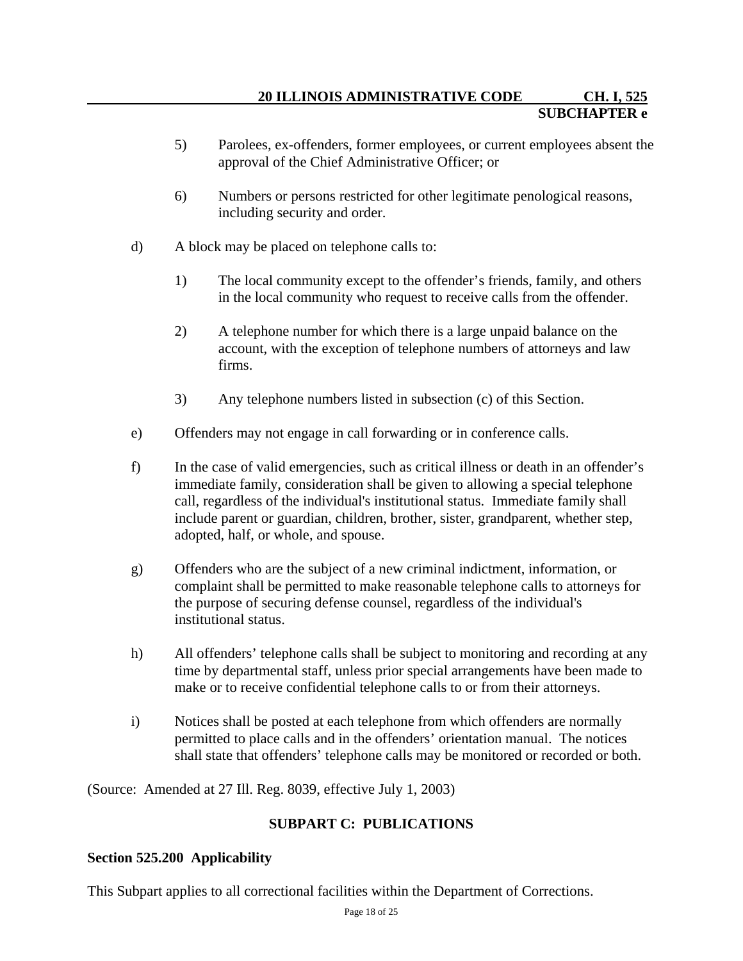- 5) Parolees, ex-offenders, former employees, or current employees absent the approval of the Chief Administrative Officer; or
- 6) Numbers or persons restricted for other legitimate penological reasons, including security and order.
- d) A block may be placed on telephone calls to:
	- 1) The local community except to the offender's friends, family, and others in the local community who request to receive calls from the offender.
	- 2) A telephone number for which there is a large unpaid balance on the account, with the exception of telephone numbers of attorneys and law firms.
	- 3) Any telephone numbers listed in subsection (c) of this Section.
- e) Offenders may not engage in call forwarding or in conference calls.
- f) In the case of valid emergencies, such as critical illness or death in an offender's immediate family, consideration shall be given to allowing a special telephone call, regardless of the individual's institutional status. Immediate family shall include parent or guardian, children, brother, sister, grandparent, whether step, adopted, half, or whole, and spouse.
- g) Offenders who are the subject of a new criminal indictment, information, or complaint shall be permitted to make reasonable telephone calls to attorneys for the purpose of securing defense counsel, regardless of the individual's institutional status.
- h) All offenders' telephone calls shall be subject to monitoring and recording at any time by departmental staff, unless prior special arrangements have been made to make or to receive confidential telephone calls to or from their attorneys.
- i) Notices shall be posted at each telephone from which offenders are normally permitted to place calls and in the offenders' orientation manual. The notices shall state that offenders' telephone calls may be monitored or recorded or both.

# **SUBPART C: PUBLICATIONS**

# **Section 525.200 Applicability**

This Subpart applies to all correctional facilities within the Department of Corrections.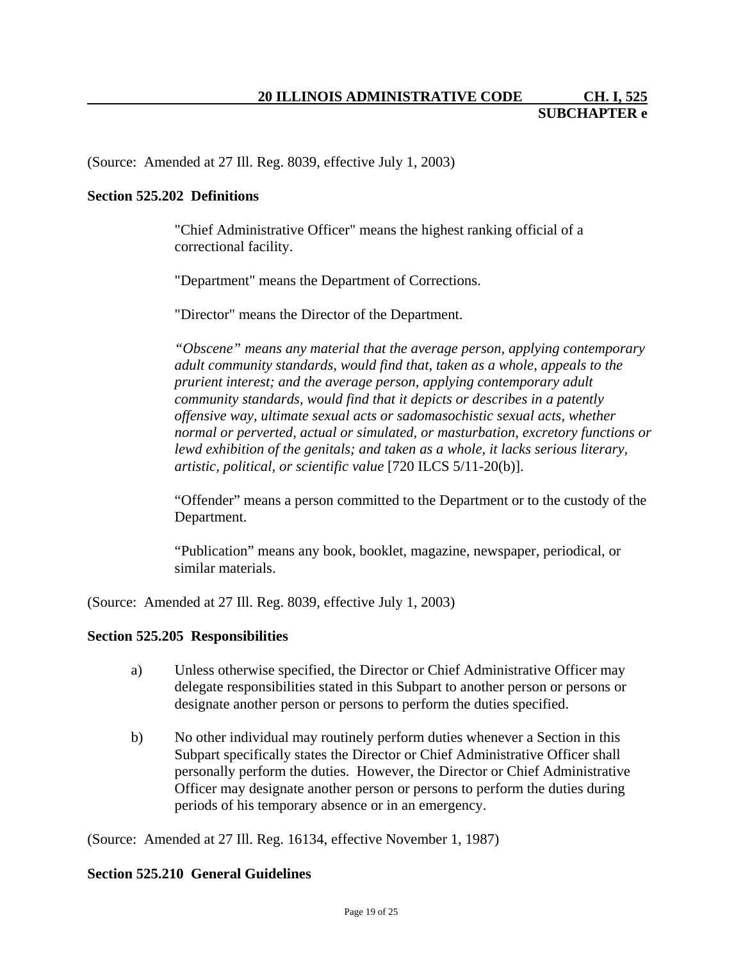#### **Section 525.202 Definitions**

"Chief Administrative Officer" means the highest ranking official of a correctional facility.

"Department" means the Department of Corrections.

"Director" means the Director of the Department.

*"Obscene" means any material that the average person, applying contemporary adult community standards, would find that, taken as a whole, appeals to the prurient interest; and the average person, applying contemporary adult community standards, would find that it depicts or describes in a patently offensive way, ultimate sexual acts or sadomasochistic sexual acts, whether normal or perverted, actual or simulated, or masturbation, excretory functions or lewd exhibition of the genitals; and taken as a whole, it lacks serious literary, artistic, political, or scientific value* [720 ILCS 5/11-20(b)].

"Offender" means a person committed to the Department or to the custody of the Department.

"Publication" means any book, booklet, magazine, newspaper, periodical, or similar materials.

(Source: Amended at 27 Ill. Reg. 8039, effective July 1, 2003)

#### **Section 525.205 Responsibilities**

- a) Unless otherwise specified, the Director or Chief Administrative Officer may delegate responsibilities stated in this Subpart to another person or persons or designate another person or persons to perform the duties specified.
- b) No other individual may routinely perform duties whenever a Section in this Subpart specifically states the Director or Chief Administrative Officer shall personally perform the duties. However, the Director or Chief Administrative Officer may designate another person or persons to perform the duties during periods of his temporary absence or in an emergency.

(Source: Amended at 27 Ill. Reg. 16134, effective November 1, 1987)

#### **Section 525.210 General Guidelines**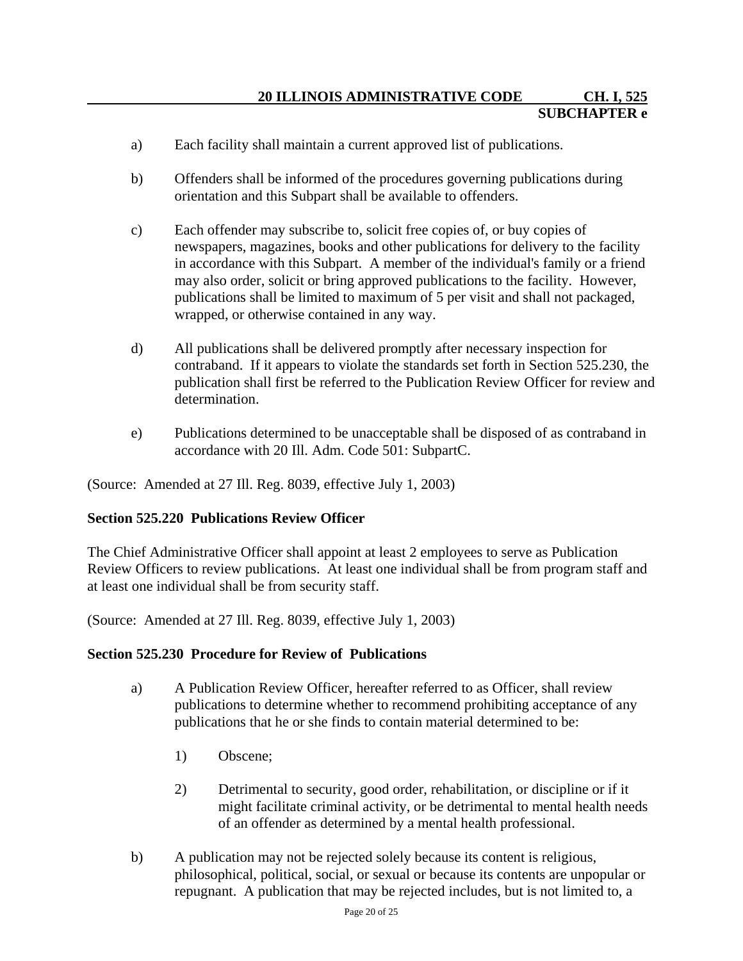- a) Each facility shall maintain a current approved list of publications.
- b) Offenders shall be informed of the procedures governing publications during orientation and this Subpart shall be available to offenders.
- c) Each offender may subscribe to, solicit free copies of, or buy copies of newspapers, magazines, books and other publications for delivery to the facility in accordance with this Subpart. A member of the individual's family or a friend may also order, solicit or bring approved publications to the facility. However, publications shall be limited to maximum of 5 per visit and shall not packaged, wrapped, or otherwise contained in any way.
- d) All publications shall be delivered promptly after necessary inspection for contraband. If it appears to violate the standards set forth in Section 525.230, the publication shall first be referred to the Publication Review Officer for review and determination.
- e) Publications determined to be unacceptable shall be disposed of as contraband in accordance with 20 Ill. Adm. Code 501: SubpartC.

#### **Section 525.220 Publications Review Officer**

The Chief Administrative Officer shall appoint at least 2 employees to serve as Publication Review Officers to review publications. At least one individual shall be from program staff and at least one individual shall be from security staff.

(Source: Amended at 27 Ill. Reg. 8039, effective July 1, 2003)

#### **Section 525.230 Procedure for Review of Publications**

- a) A Publication Review Officer, hereafter referred to as Officer, shall review publications to determine whether to recommend prohibiting acceptance of any publications that he or she finds to contain material determined to be:
	- 1) Obscene;
	- 2) Detrimental to security, good order, rehabilitation, or discipline or if it might facilitate criminal activity, or be detrimental to mental health needs of an offender as determined by a mental health professional.
- b) A publication may not be rejected solely because its content is religious, philosophical, political, social, or sexual or because its contents are unpopular or repugnant. A publication that may be rejected includes, but is not limited to, a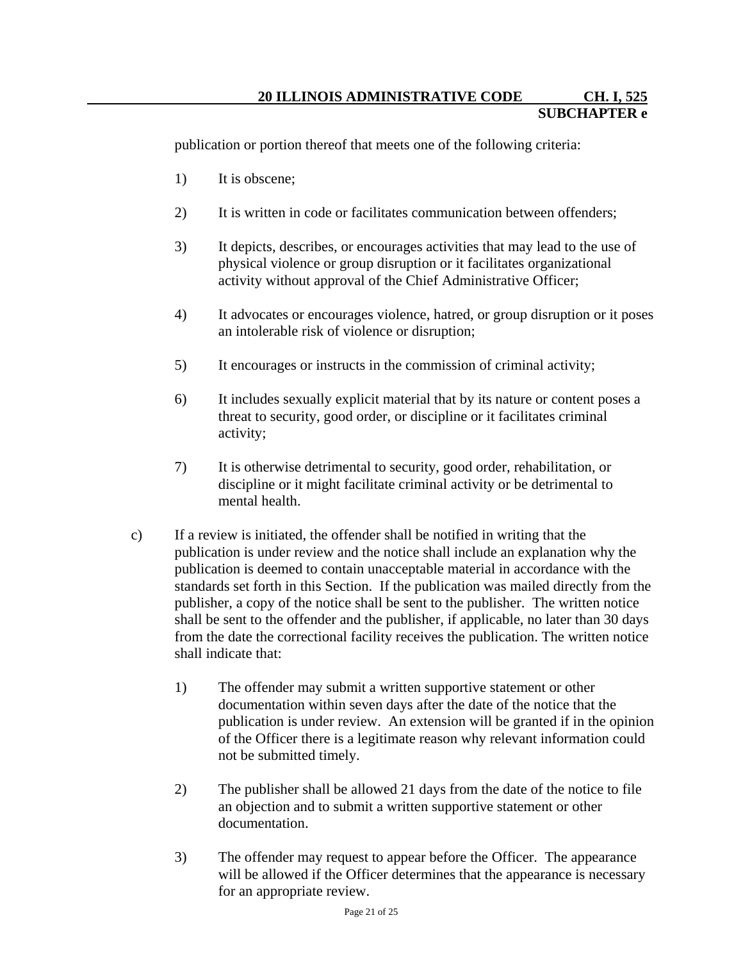publication or portion thereof that meets one of the following criteria:

- 1) It is obscene;
- 2) It is written in code or facilitates communication between offenders;
- 3) It depicts, describes, or encourages activities that may lead to the use of physical violence or group disruption or it facilitates organizational activity without approval of the Chief Administrative Officer;
- 4) It advocates or encourages violence, hatred, or group disruption or it poses an intolerable risk of violence or disruption;
- 5) It encourages or instructs in the commission of criminal activity;
- 6) It includes sexually explicit material that by its nature or content poses a threat to security, good order, or discipline or it facilitates criminal activity;
- 7) It is otherwise detrimental to security, good order, rehabilitation, or discipline or it might facilitate criminal activity or be detrimental to mental health.
- c) If a review is initiated, the offender shall be notified in writing that the publication is under review and the notice shall include an explanation why the publication is deemed to contain unacceptable material in accordance with the standards set forth in this Section. If the publication was mailed directly from the publisher, a copy of the notice shall be sent to the publisher. The written notice shall be sent to the offender and the publisher, if applicable, no later than 30 days from the date the correctional facility receives the publication. The written notice shall indicate that:
	- 1) The offender may submit a written supportive statement or other documentation within seven days after the date of the notice that the publication is under review. An extension will be granted if in the opinion of the Officer there is a legitimate reason why relevant information could not be submitted timely.
	- 2) The publisher shall be allowed 21 days from the date of the notice to file an objection and to submit a written supportive statement or other documentation.
	- 3) The offender may request to appear before the Officer. The appearance will be allowed if the Officer determines that the appearance is necessary for an appropriate review.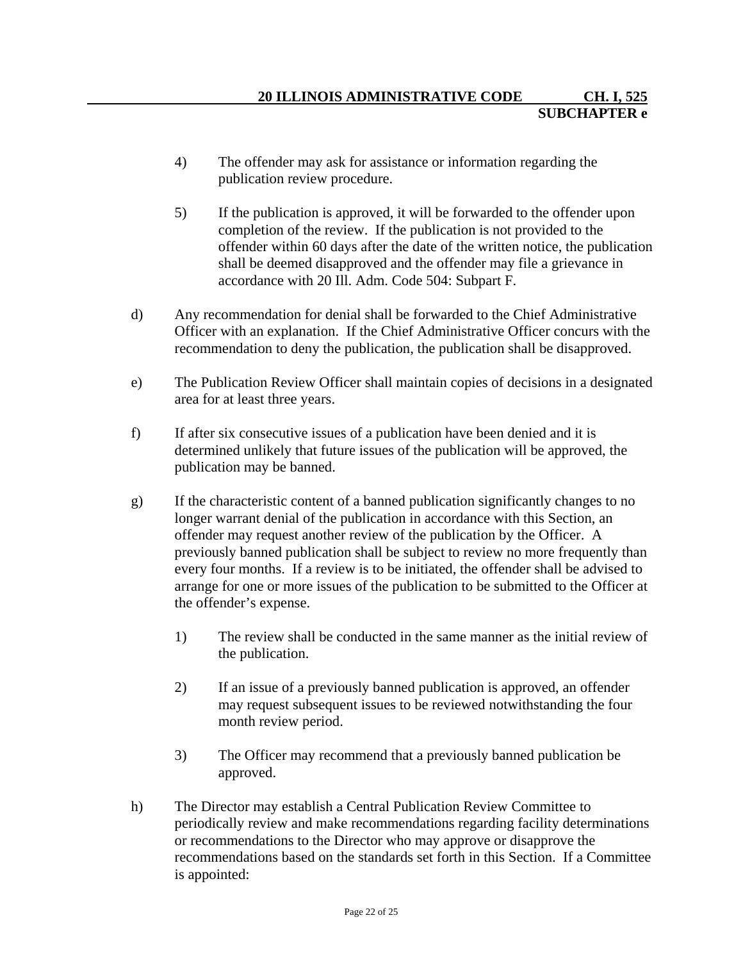- 4) The offender may ask for assistance or information regarding the publication review procedure.
- 5) If the publication is approved, it will be forwarded to the offender upon completion of the review. If the publication is not provided to the offender within 60 days after the date of the written notice, the publication shall be deemed disapproved and the offender may file a grievance in accordance with 20 Ill. Adm. Code 504: Subpart F.
- d) Any recommendation for denial shall be forwarded to the Chief Administrative Officer with an explanation. If the Chief Administrative Officer concurs with the recommendation to deny the publication, the publication shall be disapproved.
- e) The Publication Review Officer shall maintain copies of decisions in a designated area for at least three years.
- f) If after six consecutive issues of a publication have been denied and it is determined unlikely that future issues of the publication will be approved, the publication may be banned.
- g) If the characteristic content of a banned publication significantly changes to no longer warrant denial of the publication in accordance with this Section, an offender may request another review of the publication by the Officer. A previously banned publication shall be subject to review no more frequently than every four months. If a review is to be initiated, the offender shall be advised to arrange for one or more issues of the publication to be submitted to the Officer at the offender's expense.
	- 1) The review shall be conducted in the same manner as the initial review of the publication.
	- 2) If an issue of a previously banned publication is approved, an offender may request subsequent issues to be reviewed notwithstanding the four month review period.
	- 3) The Officer may recommend that a previously banned publication be approved.
- h) The Director may establish a Central Publication Review Committee to periodically review and make recommendations regarding facility determinations or recommendations to the Director who may approve or disapprove the recommendations based on the standards set forth in this Section. If a Committee is appointed: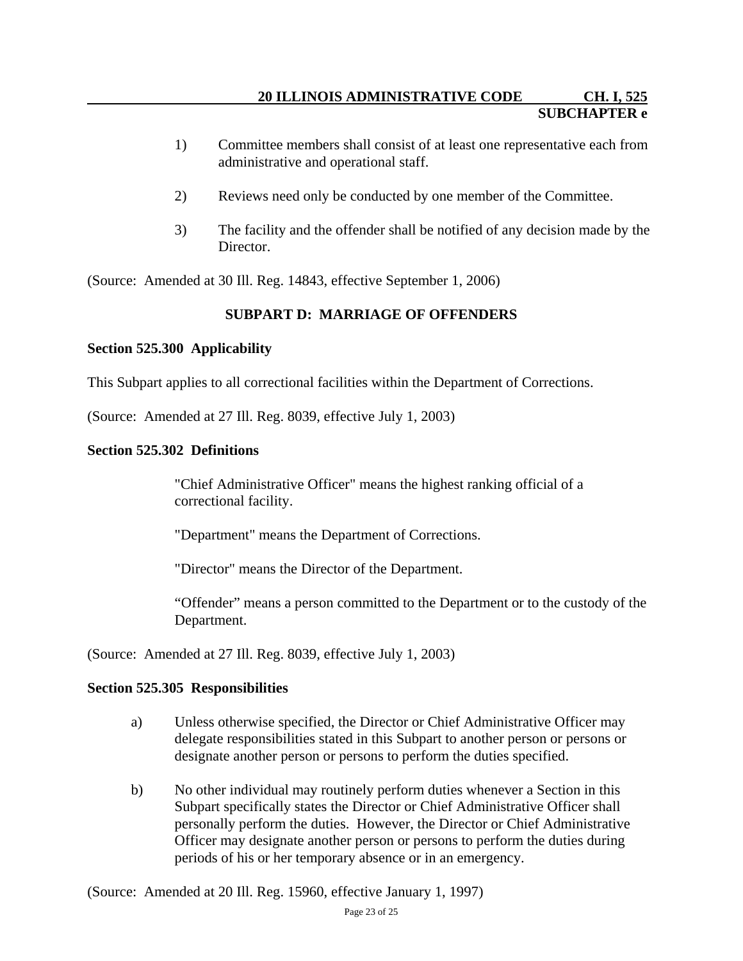- 1) Committee members shall consist of at least one representative each from administrative and operational staff.
- 2) Reviews need only be conducted by one member of the Committee.
- 3) The facility and the offender shall be notified of any decision made by the Director.

(Source: Amended at 30 Ill. Reg. 14843, effective September 1, 2006)

# **SUBPART D: MARRIAGE OF OFFENDERS**

## **Section 525.300 Applicability**

This Subpart applies to all correctional facilities within the Department of Corrections.

(Source: Amended at 27 Ill. Reg. 8039, effective July 1, 2003)

## **Section 525.302 Definitions**

"Chief Administrative Officer" means the highest ranking official of a correctional facility.

"Department" means the Department of Corrections.

"Director" means the Director of the Department.

"Offender" means a person committed to the Department or to the custody of the Department.

(Source: Amended at 27 Ill. Reg. 8039, effective July 1, 2003)

## **Section 525.305 Responsibilities**

- a) Unless otherwise specified, the Director or Chief Administrative Officer may delegate responsibilities stated in this Subpart to another person or persons or designate another person or persons to perform the duties specified.
- b) No other individual may routinely perform duties whenever a Section in this Subpart specifically states the Director or Chief Administrative Officer shall personally perform the duties. However, the Director or Chief Administrative Officer may designate another person or persons to perform the duties during periods of his or her temporary absence or in an emergency.

(Source: Amended at 20 Ill. Reg. 15960, effective January 1, 1997)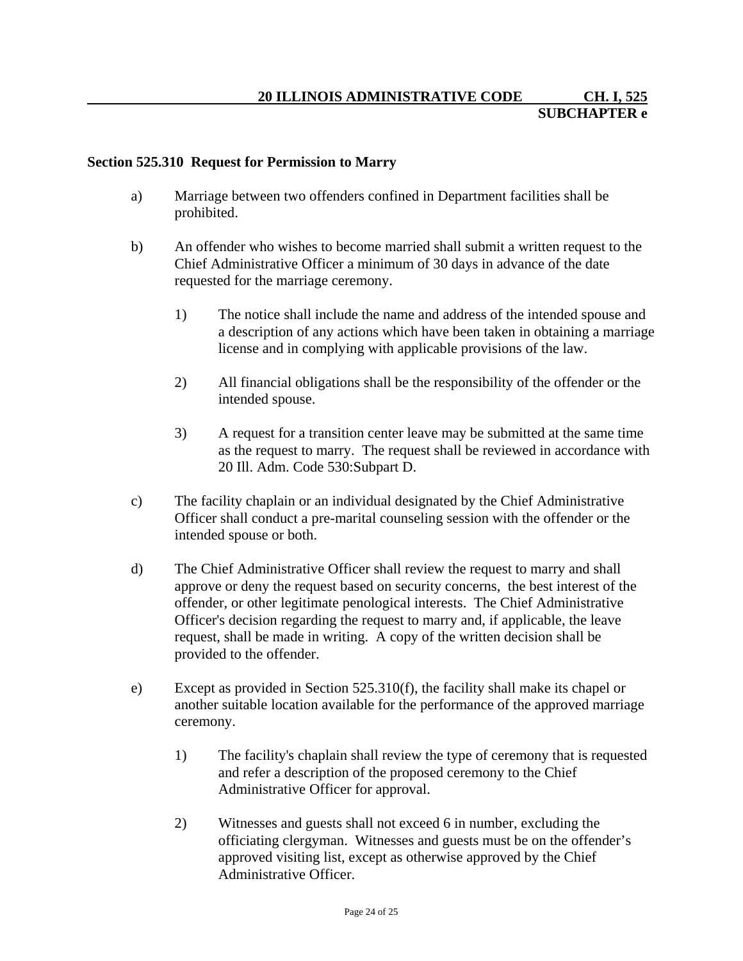#### **Section 525.310 Request for Permission to Marry**

- a) Marriage between two offenders confined in Department facilities shall be prohibited.
- b) An offender who wishes to become married shall submit a written request to the Chief Administrative Officer a minimum of 30 days in advance of the date requested for the marriage ceremony.
	- 1) The notice shall include the name and address of the intended spouse and a description of any actions which have been taken in obtaining a marriage license and in complying with applicable provisions of the law.
	- 2) All financial obligations shall be the responsibility of the offender or the intended spouse.
	- 3) A request for a transition center leave may be submitted at the same time as the request to marry. The request shall be reviewed in accordance with 20 Ill. Adm. Code 530:Subpart D.
- c) The facility chaplain or an individual designated by the Chief Administrative Officer shall conduct a pre-marital counseling session with the offender or the intended spouse or both.
- d) The Chief Administrative Officer shall review the request to marry and shall approve or deny the request based on security concerns, the best interest of the offender, or other legitimate penological interests. The Chief Administrative Officer's decision regarding the request to marry and, if applicable, the leave request, shall be made in writing. A copy of the written decision shall be provided to the offender.
- e) Except as provided in Section 525.310(f), the facility shall make its chapel or another suitable location available for the performance of the approved marriage ceremony.
	- 1) The facility's chaplain shall review the type of ceremony that is requested and refer a description of the proposed ceremony to the Chief Administrative Officer for approval.
	- 2) Witnesses and guests shall not exceed 6 in number, excluding the officiating clergyman. Witnesses and guests must be on the offender's approved visiting list, except as otherwise approved by the Chief Administrative Officer.